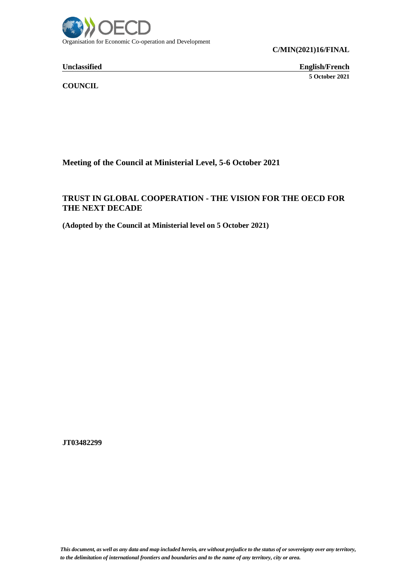

**Unclassified English/French 5 October 2021**

**COUNCIL**

**Meeting of the Council at Ministerial Level, 5-6 October 2021**

# **TRUST IN GLOBAL COOPERATION - THE VISION FOR THE OECD FOR THE NEXT DECADE**

**(Adopted by the Council at Ministerial level on 5 October 2021)**

**JT03482299**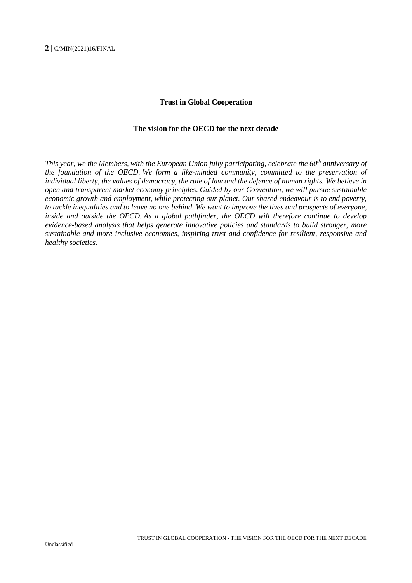#### **Trust in Global Cooperation**

#### **The vision for the OECD for the next decade**

*This year, we the Members, with the European Union fully participating, celebrate the 60th anniversary of the foundation of the OECD. We form a like-minded community, committed to the preservation of individual liberty, the values of democracy, the rule of law and the defence of human rights. We believe in open and transparent market economy principles*. *Guided by our Convention, we will pursue sustainable economic growth and employment, while protecting our planet. Our shared endeavour is to end poverty, to tackle inequalities and to leave no one behind. We want to improve the lives and prospects of everyone, inside and outside the OECD. As a global pathfinder, the OECD will therefore continue to develop evidence-based analysis that helps generate innovative policies and standards to build stronger, more sustainable and more inclusive economies, inspiring trust and confidence for resilient, responsive and healthy societies.*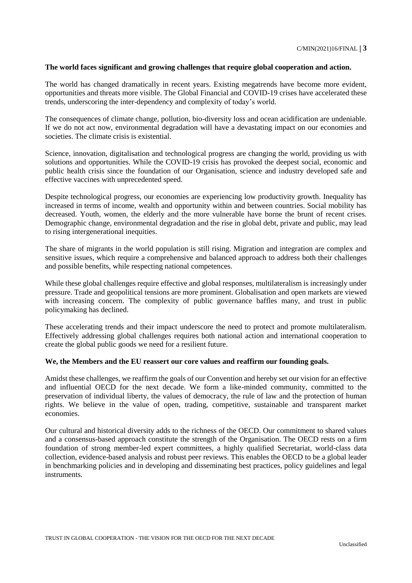# **The world faces significant and growing challenges that require global cooperation and action.**

The world has changed dramatically in recent years. Existing megatrends have become more evident, opportunities and threats more visible. The Global Financial and COVID-19 crises have accelerated these trends, underscoring the inter-dependency and complexity of today's world.

The consequences of climate change, pollution, bio-diversity loss and ocean acidification are undeniable. If we do not act now, environmental degradation will have a devastating impact on our economies and societies. The climate crisis is existential.

Science, innovation, digitalisation and technological progress are changing the world, providing us with solutions and opportunities. While the COVID-19 crisis has provoked the deepest social, economic and public health crisis since the foundation of our Organisation, science and industry developed safe and effective vaccines with unprecedented speed.

Despite technological progress, our economies are experiencing low productivity growth. Inequality has increased in terms of income, wealth and opportunity within and between countries. Social mobility has decreased. Youth, women, the elderly and the more vulnerable have borne the brunt of recent crises. Demographic change, environmental degradation and the rise in global debt, private and public, may lead to rising intergenerational inequities.

The share of migrants in the world population is still rising. Migration and integration are complex and sensitive issues, which require a comprehensive and balanced approach to address both their challenges and possible benefits, while respecting national competences.

While these global challenges require effective and global responses, multilateralism is increasingly under pressure. Trade and geopolitical tensions are more prominent. Globalisation and open markets are viewed with increasing concern. The complexity of public governance baffles many, and trust in public policymaking has declined.

These accelerating trends and their impact underscore the need to protect and promote multilateralism. Effectively addressing global challenges requires both national action and international cooperation to create the global public goods we need for a resilient future.

# **We, the Members and the EU reassert our core values and reaffirm our founding goals.**

Amidst these challenges, we reaffirm the goals of our Convention and hereby set our vision for an effective and influential OECD for the next decade. We form a like-minded community, committed to the preservation of individual liberty, the values of democracy, the rule of law and the protection of human rights. We believe in the value of open, trading, competitive, sustainable and transparent market economies.

Our cultural and historical diversity adds to the richness of the OECD. Our commitment to shared values and a consensus-based approach constitute the strength of the Organisation. The OECD rests on a firm foundation of strong member-led expert committees, a highly qualified Secretariat, world-class data collection, evidence-based analysis and robust peer reviews. This enables the OECD to be a global leader in benchmarking policies and in developing and disseminating best practices, policy guidelines and legal instruments.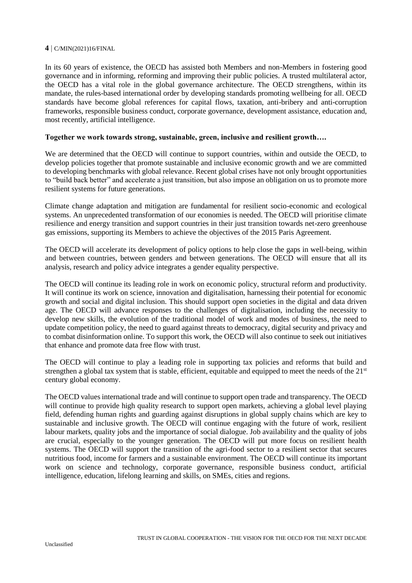In its 60 years of existence, the OECD has assisted both Members and non-Members in fostering good governance and in informing, reforming and improving their public policies. A trusted multilateral actor, the OECD has a vital role in the global governance architecture. The OECD strengthens, within its mandate, the rules-based international order by developing standards promoting wellbeing for all. OECD standards have become global references for capital flows, taxation, anti-bribery and anti-corruption frameworks, responsible business conduct, corporate governance, development assistance, education and, most recently, artificial intelligence.

# **Together we work towards strong, sustainable, green, inclusive and resilient growth….**

We are determined that the OECD will continue to support countries, within and outside the OECD, to develop policies together that promote sustainable and inclusive economic growth and we are committed to developing benchmarks with global relevance. Recent global crises have not only brought opportunities to "build back better" and accelerate a just transition, but also impose an obligation on us to promote more resilient systems for future generations.

Climate change adaptation and mitigation are fundamental for resilient socio-economic and ecological systems. An unprecedented transformation of our economies is needed. The OECD will prioritise climate resilience and energy transition and support countries in their just transition towards net-zero greenhouse gas emissions, supporting its Members to achieve the objectives of the 2015 Paris Agreement.

The OECD will accelerate its development of policy options to help close the gaps in well-being, within and between countries, between genders and between generations. The OECD will ensure that all its analysis, research and policy advice integrates a gender equality perspective.

The OECD will continue its leading role in work on economic policy, structural reform and productivity. It will continue its work on science, innovation and digitalisation, harnessing their potential for economic growth and social and digital inclusion. This should support open societies in the digital and data driven age. The OECD will advance responses to the challenges of digitalisation, including the necessity to develop new skills, the evolution of the traditional model of work and modes of business, the need to update competition policy, the need to guard against threats to democracy, digital security and privacy and to combat disinformation online. To support this work, the OECD will also continue to seek out initiatives that enhance and promote data free flow with trust.

The OECD will continue to play a leading role in supporting tax policies and reforms that build and strengthen a global tax system that is stable, efficient, equitable and equipped to meet the needs of the  $21<sup>st</sup>$ century global economy.

The OECD values international trade and will continue to support open trade and transparency. The OECD will continue to provide high quality research to support open markets, achieving a global level playing field, defending human rights and guarding against disruptions in global supply chains which are key to sustainable and inclusive growth. The OECD will continue engaging with the future of work, resilient labour markets, quality jobs and the importance of social dialogue. Job availability and the quality of jobs are crucial, especially to the younger generation. The OECD will put more focus on resilient health systems. The OECD will support the transition of the agri-food sector to a resilient sector that secures nutritious food, income for farmers and a sustainable environment. The OECD will continue its important work on science and technology, corporate governance, responsible business conduct, artificial intelligence, education, lifelong learning and skills, on SMEs, cities and regions.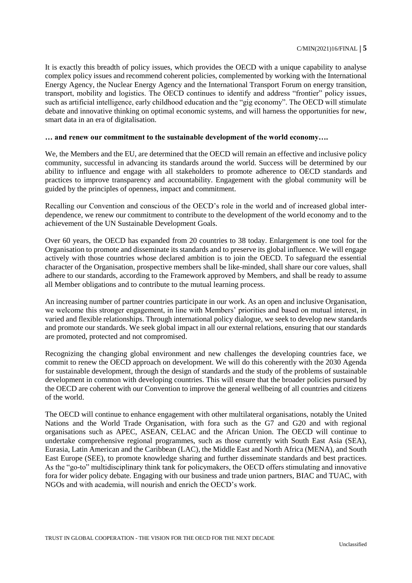It is exactly this breadth of policy issues, which provides the OECD with a unique capability to analyse complex policy issues and recommend coherent policies, complemented by working with the International Energy Agency, the Nuclear Energy Agency and the International Transport Forum on energy transition, transport, mobility and logistics. The OECD continues to identify and address "frontier" policy issues, such as artificial intelligence, early childhood education and the "gig economy". The OECD will stimulate debate and innovative thinking on optimal economic systems, and will harness the opportunities for new, smart data in an era of digitalisation.

### **… and renew our commitment to the sustainable development of the world economy….**

We, the Members and the EU, are determined that the OECD will remain an effective and inclusive policy community, successful in advancing its standards around the world. Success will be determined by our ability to influence and engage with all stakeholders to promote adherence to OECD standards and practices to improve transparency and accountability. Engagement with the global community will be guided by the principles of openness, impact and commitment.

Recalling our Convention and conscious of the OECD's role in the world and of increased global interdependence, we renew our commitment to contribute to the development of the world economy and to the achievement of the UN Sustainable Development Goals.

Over 60 years, the OECD has expanded from 20 countries to 38 today. Enlargement is one tool for the Organisation to promote and disseminate its standards and to preserve its global influence. We will engage actively with those countries whose declared ambition is to join the OECD. To safeguard the essential character of the Organisation, prospective members shall be like-minded, shall share our core values, shall adhere to our standards, according to the Framework approved by Members, and shall be ready to assume all Member obligations and to contribute to the mutual learning process.

An increasing number of partner countries participate in our work. As an open and inclusive Organisation, we welcome this stronger engagement, in line with Members' priorities and based on mutual interest, in varied and flexible relationships. Through international policy dialogue, we seek to develop new standards and promote our standards. We seek global impact in all our external relations, ensuring that our standards are promoted, protected and not compromised.

Recognizing the changing global environment and new challenges the developing countries face, we commit to renew the OECD approach on development. We will do this coherently with the 2030 Agenda for sustainable development, through the design of standards and the study of the problems of sustainable development in common with developing countries. This will ensure that the broader policies pursued by the OECD are coherent with our Convention to improve the general wellbeing of all countries and citizens of the world.

The OECD will continue to enhance engagement with other multilateral organisations, notably the United Nations and the World Trade Organisation, with fora such as the G7 and G20 and with regional organisations such as APEC, ASEAN, CELAC and the African Union. The OECD will continue to undertake comprehensive regional programmes, such as those currently with South East Asia (SEA), Eurasia, Latin American and the Caribbean (LAC), the Middle East and North Africa (MENA), and South East Europe (SEE), to promote knowledge sharing and further disseminate standards and best practices. As the "go-to" multidisciplinary think tank for policymakers, the OECD offers stimulating and innovative fora for wider policy debate. Engaging with our business and trade union partners, BIAC and TUAC, with NGOs and with academia, will nourish and enrich the OECD's work.